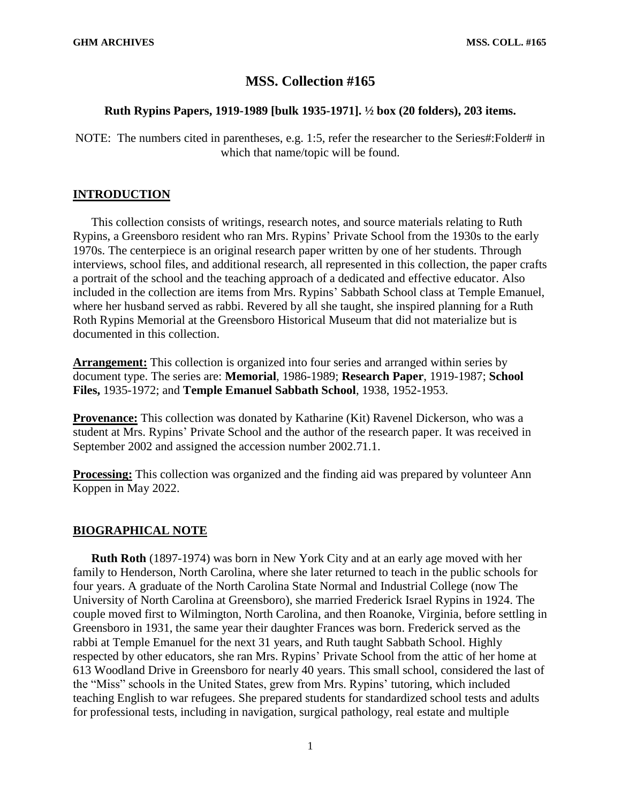# **MSS. Collection #165**

## **Ruth Rypins Papers, 1919-1989 [bulk 1935-1971]. ½ box (20 folders), 203 items.**

NOTE: The numbers cited in parentheses, e.g. 1:5, refer the researcher to the Series#: Folder# in which that name/topic will be found.

## **INTRODUCTION**

This collection consists of writings, research notes, and source materials relating to Ruth Rypins, a Greensboro resident who ran Mrs. Rypins' Private School from the 1930s to the early 1970s. The centerpiece is an original research paper written by one of her students. Through interviews, school files, and additional research, all represented in this collection, the paper crafts a portrait of the school and the teaching approach of a dedicated and effective educator. Also included in the collection are items from Mrs. Rypins' Sabbath School class at Temple Emanuel, where her husband served as rabbi. Revered by all she taught, she inspired planning for a Ruth Roth Rypins Memorial at the Greensboro Historical Museum that did not materialize but is documented in this collection.

**Arrangement:** This collection is organized into four series and arranged within series by document type. The series are: **Memorial**, 1986-1989; **Research Paper**, 1919-1987; **School Files,** 1935-1972; and **Temple Emanuel Sabbath School**, 1938, 1952-1953.

**Provenance:** This collection was donated by Katharine (Kit) Ravenel Dickerson, who was a student at Mrs. Rypins' Private School and the author of the research paper. It was received in September 2002 and assigned the accession number 2002.71.1.

**Processing:** This collection was organized and the finding aid was prepared by volunteer Ann Koppen in May 2022.

## **BIOGRAPHICAL NOTE**

**Ruth Roth** (1897-1974) was born in New York City and at an early age moved with her family to Henderson, North Carolina, where she later returned to teach in the public schools for four years. A graduate of the North Carolina State Normal and Industrial College (now The University of North Carolina at Greensboro), she married Frederick Israel Rypins in 1924. The couple moved first to Wilmington, North Carolina, and then Roanoke, Virginia, before settling in Greensboro in 1931, the same year their daughter Frances was born. Frederick served as the rabbi at Temple Emanuel for the next 31 years, and Ruth taught Sabbath School. Highly respected by other educators, she ran Mrs. Rypins' Private School from the attic of her home at 613 Woodland Drive in Greensboro for nearly 40 years. This small school, considered the last of the "Miss" schools in the United States, grew from Mrs. Rypins' tutoring, which included teaching English to war refugees. She prepared students for standardized school tests and adults for professional tests, including in navigation, surgical pathology, real estate and multiple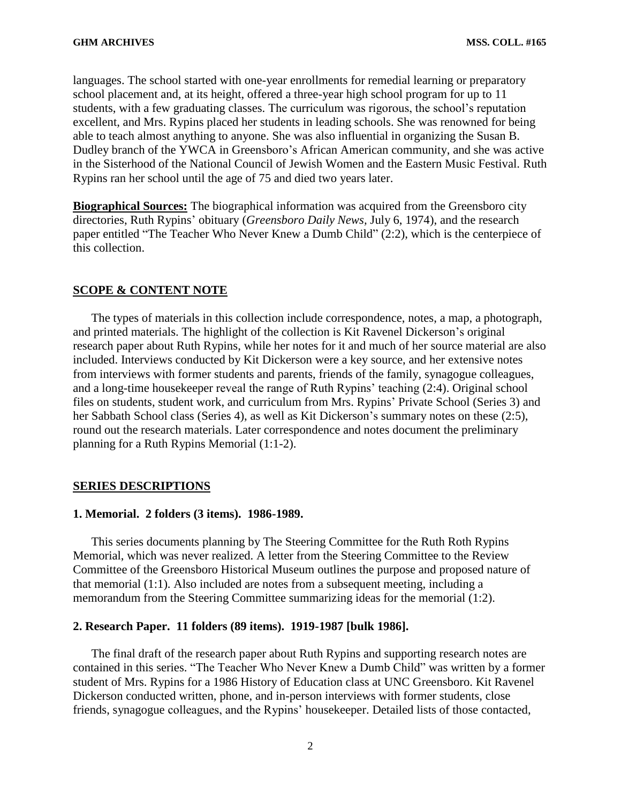languages. The school started with one-year enrollments for remedial learning or preparatory school placement and, at its height, offered a three-year high school program for up to 11 students, with a few graduating classes. The curriculum was rigorous, the school's reputation excellent, and Mrs. Rypins placed her students in leading schools. She was renowned for being able to teach almost anything to anyone. She was also influential in organizing the Susan B. Dudley branch of the YWCA in Greensboro's African American community, and she was active in the Sisterhood of the National Council of Jewish Women and the Eastern Music Festival. Ruth Rypins ran her school until the age of 75 and died two years later.

**Biographical Sources:** The biographical information was acquired from the Greensboro city directories, Ruth Rypins' obituary (*Greensboro Daily News,* July 6, 1974), and the research paper entitled "The Teacher Who Never Knew a Dumb Child" (2:2), which is the centerpiece of this collection.

## **SCOPE & CONTENT NOTE**

The types of materials in this collection include correspondence, notes, a map, a photograph, and printed materials. The highlight of the collection is Kit Ravenel Dickerson's original research paper about Ruth Rypins, while her notes for it and much of her source material are also included. Interviews conducted by Kit Dickerson were a key source, and her extensive notes from interviews with former students and parents, friends of the family, synagogue colleagues, and a long-time housekeeper reveal the range of Ruth Rypins' teaching (2:4). Original school files on students, student work, and curriculum from Mrs. Rypins' Private School (Series 3) and her Sabbath School class (Series 4), as well as Kit Dickerson's summary notes on these (2:5), round out the research materials. Later correspondence and notes document the preliminary planning for a Ruth Rypins Memorial (1:1-2).

#### **SERIES DESCRIPTIONS**

#### **1. Memorial. 2 folders (3 items). 1986-1989.**

This series documents planning by The Steering Committee for the Ruth Roth Rypins Memorial, which was never realized. A letter from the Steering Committee to the Review Committee of the Greensboro Historical Museum outlines the purpose and proposed nature of that memorial (1:1). Also included are notes from a subsequent meeting, including a memorandum from the Steering Committee summarizing ideas for the memorial (1:2).

#### **2. Research Paper. 11 folders (89 items). 1919-1987 [bulk 1986].**

The final draft of the research paper about Ruth Rypins and supporting research notes are contained in this series. "The Teacher Who Never Knew a Dumb Child" was written by a former student of Mrs. Rypins for a 1986 History of Education class at UNC Greensboro. Kit Ravenel Dickerson conducted written, phone, and in-person interviews with former students, close friends, synagogue colleagues, and the Rypins' housekeeper. Detailed lists of those contacted,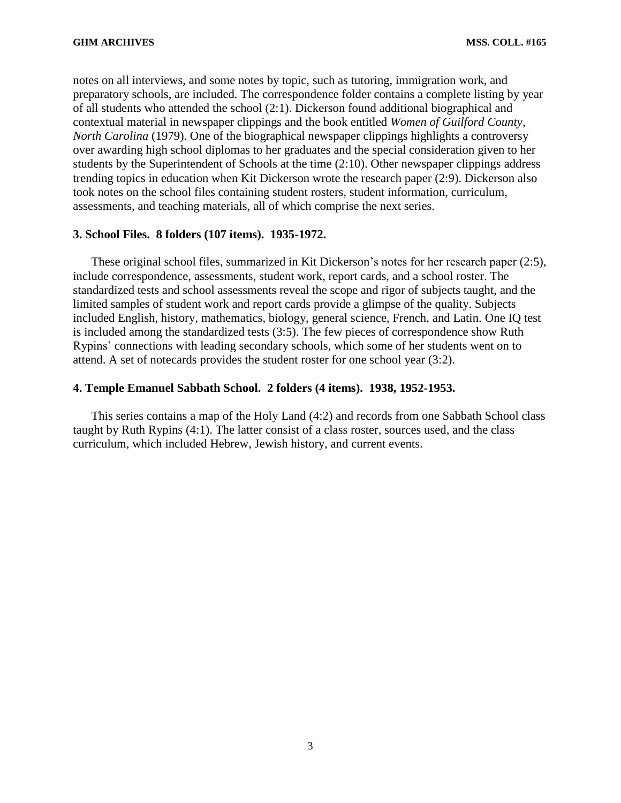notes on all interviews, and some notes by topic, such as tutoring, immigration work, and preparatory schools, are included. The correspondence folder contains a complete listing by year of all students who attended the school (2:1). Dickerson found additional biographical and contextual material in newspaper clippings and the book entitled *Women of Guilford County, North Carolina* (1979). One of the biographical newspaper clippings highlights a controversy over awarding high school diplomas to her graduates and the special consideration given to her students by the Superintendent of Schools at the time (2:10). Other newspaper clippings address trending topics in education when Kit Dickerson wrote the research paper (2:9). Dickerson also took notes on the school files containing student rosters, student information, curriculum, assessments, and teaching materials, all of which comprise the next series.

## **3. School Files. 8 folders (107 items). 1935-1972.**

These original school files, summarized in Kit Dickerson's notes for her research paper (2:5), include correspondence, assessments, student work, report cards, and a school roster. The standardized tests and school assessments reveal the scope and rigor of subjects taught, and the limited samples of student work and report cards provide a glimpse of the quality. Subjects included English, history, mathematics, biology, general science, French, and Latin. One IQ test is included among the standardized tests (3:5). The few pieces of correspondence show Ruth Rypins' connections with leading secondary schools, which some of her students went on to attend. A set of notecards provides the student roster for one school year (3:2).

## **4. Temple Emanuel Sabbath School. 2 folders (4 items). 1938, 1952-1953.**

This series contains a map of the Holy Land (4:2) and records from one Sabbath School class taught by Ruth Rypins (4:1). The latter consist of a class roster, sources used, and the class curriculum, which included Hebrew, Jewish history, and current events.